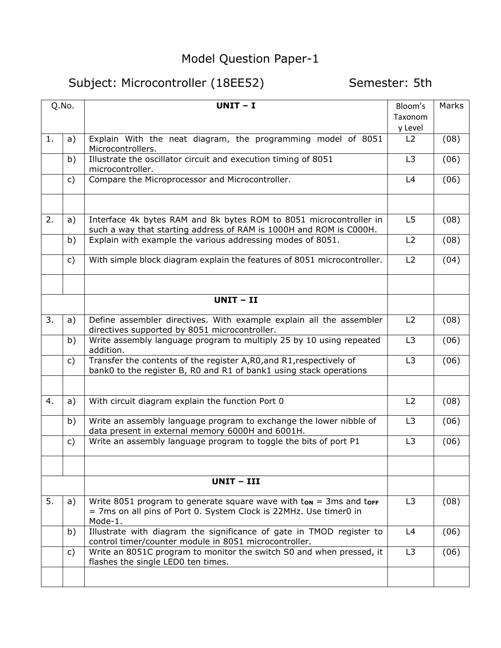## Model Question Paper-1

## Subject: Microcontroller (18EE52) Semester: 5th

| Q.No. |                | $UNIT - I$                                                                                                                                         | Bloom's        | Marks |
|-------|----------------|----------------------------------------------------------------------------------------------------------------------------------------------------|----------------|-------|
|       |                |                                                                                                                                                    | Taxonom        |       |
|       |                |                                                                                                                                                    | y Level        |       |
| 1.    | a)             | Explain With the neat diagram, the programming model of 8051<br>Microcontrollers.                                                                  | L2             | (08)  |
|       | b)             | Illustrate the oscillator circuit and execution timing of 8051<br>microcontroller.                                                                 | L <sub>3</sub> | (06)  |
|       | $\mathsf{c}$ ) | Compare the Microprocessor and Microcontroller.                                                                                                    | L4             | (06)  |
|       |                |                                                                                                                                                    |                |       |
| 2.    | a)             | Interface 4k bytes RAM and 8k bytes ROM to 8051 microcontroller in<br>such a way that starting address of RAM is 1000H and ROM is C000H.           | L <sub>5</sub> | (08)  |
|       | b)             | Explain with example the various addressing modes of 8051.                                                                                         | L2             | (08)  |
|       | c)             | With simple block diagram explain the features of 8051 microcontroller.                                                                            | L2             | (04)  |
|       |                |                                                                                                                                                    |                |       |
|       |                | UNIT-II                                                                                                                                            |                |       |
| 3.    | a)             | Define assembler directives. With example explain all the assembler<br>directives supported by 8051 microcontroller.                               | L2             | (08)  |
|       | b)             | Write assembly language program to multiply 25 by 10 using repeated<br>addition.                                                                   | L3             | (06)  |
|       | C)             | Transfer the contents of the register A, RO, and R1, respectively of<br>bank0 to the register B, R0 and R1 of bank1 using stack operations         | L <sub>3</sub> | (06)  |
|       |                |                                                                                                                                                    |                |       |
| 4.    | a)             | With circuit diagram explain the function Port 0                                                                                                   | L2             | (08)  |
|       | b)             | Write an assembly language program to exchange the lower nibble of<br>data present in external memory 6000H and 6001H.                             | L <sub>3</sub> | (06)  |
|       | c)             | Write an assembly language program to toggle the bits of port P1                                                                                   | L <sub>3</sub> | (06)  |
|       |                |                                                                                                                                                    |                |       |
|       |                | UNIT - III                                                                                                                                         |                |       |
| 5.    | a)             | Write 8051 program to generate square wave with tow = 3ms and torf<br>= 7ms on all pins of Port 0. System Clock is 22MHz. Use timer0 in<br>Mode-1. | L <sub>3</sub> | (08)  |
|       | b)             | Illustrate with diagram the significance of gate in TMOD register to<br>control timer/counter module in 8051 microcontroller.                      | L4             | (06)  |
|       | C)             | Write an 8051C program to monitor the switch S0 and when pressed, it<br>flashes the single LED0 ten times.                                         | L <sub>3</sub> | (06)  |
|       |                |                                                                                                                                                    |                |       |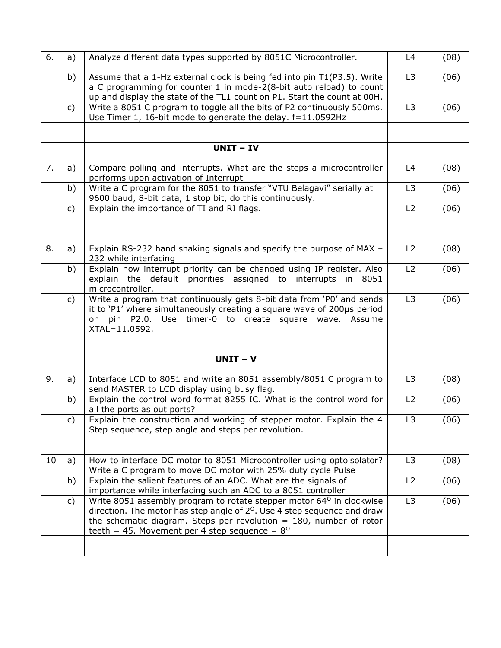| 6. | a)           | Analyze different data types supported by 8051C Microcontroller.                                                                                                                                                                                                                                         | L4             | (08) |
|----|--------------|----------------------------------------------------------------------------------------------------------------------------------------------------------------------------------------------------------------------------------------------------------------------------------------------------------|----------------|------|
|    | b)           | Assume that a 1-Hz external clock is being fed into pin T1(P3.5). Write<br>a C programming for counter 1 in mode-2(8-bit auto reload) to count<br>up and display the state of the TL1 count on P1. Start the count at 00H.                                                                               | L <sub>3</sub> | (06) |
|    | C)           | Write a 8051 C program to toggle all the bits of P2 continuously 500ms.<br>Use Timer 1, 16-bit mode to generate the delay. f=11.0592Hz                                                                                                                                                                   | L <sub>3</sub> | (06) |
|    |              |                                                                                                                                                                                                                                                                                                          |                |      |
|    |              | <b>UNIT - IV</b>                                                                                                                                                                                                                                                                                         |                |      |
| 7. | a)           | Compare polling and interrupts. What are the steps a microcontroller<br>performs upon activation of Interrupt                                                                                                                                                                                            | L4             | (08) |
|    | b)           | Write a C program for the 8051 to transfer "VTU Belagavi" serially at<br>9600 baud, 8-bit data, 1 stop bit, do this continuously.                                                                                                                                                                        | L3             | (06) |
|    | $\mathsf{C}$ | Explain the importance of TI and RI flags.                                                                                                                                                                                                                                                               | L2             | (06) |
|    |              |                                                                                                                                                                                                                                                                                                          |                |      |
| 8. | a)           | Explain RS-232 hand shaking signals and specify the purpose of MAX -<br>232 while interfacing                                                                                                                                                                                                            | L2             | (08) |
|    | b)           | Explain how interrupt priority can be changed using IP register. Also<br>explain the default priorities assigned to interrupts in 8051<br>microcontroller.                                                                                                                                               | L2             | (06) |
|    | C)           | Write a program that continuously gets 8-bit data from 'P0' and sends<br>it to 'P1' where simultaneously creating a square wave of 200µs period<br>on pin P2.0. Use timer-0 to create square wave. Assume<br>XTAL=11.0592.                                                                               | L <sub>3</sub> | (06) |
|    |              |                                                                                                                                                                                                                                                                                                          |                |      |
|    |              | $UNIT - V$                                                                                                                                                                                                                                                                                               |                |      |
| 9. | a)           | Interface LCD to 8051 and write an 8051 assembly/8051 C program to<br>send MASTER to LCD display using busy flag.                                                                                                                                                                                        | L <sub>3</sub> | (08) |
|    | b)           | Explain the control word format 8255 IC. What is the control word for<br>all the ports as out ports?                                                                                                                                                                                                     | L2             | (06) |
|    | c)           | Explain the construction and working of stepper motor. Explain the 4<br>Step sequence, step angle and steps per revolution.                                                                                                                                                                              | L3             | (06) |
|    |              |                                                                                                                                                                                                                                                                                                          |                |      |
| 10 | a)           | How to interface DC motor to 8051 Microcontroller using optoisolator?<br>Write a C program to move DC motor with 25% duty cycle Pulse                                                                                                                                                                    | L3             | (08) |
|    | b)           | Explain the salient features of an ADC. What are the signals of<br>importance while interfacing such an ADC to a 8051 controller                                                                                                                                                                         | L2             | (06) |
|    | c)           | Write 8051 assembly program to rotate stepper motor 64 <sup>0</sup> in clockwise<br>direction. The motor has step angle of $2^{\circ}$ . Use 4 step sequence and draw<br>the schematic diagram. Steps per revolution $= 180$ , number of rotor<br>teeth = 45. Movement per 4 step sequence = $8^{\circ}$ | L3             | (06) |
|    |              |                                                                                                                                                                                                                                                                                                          |                |      |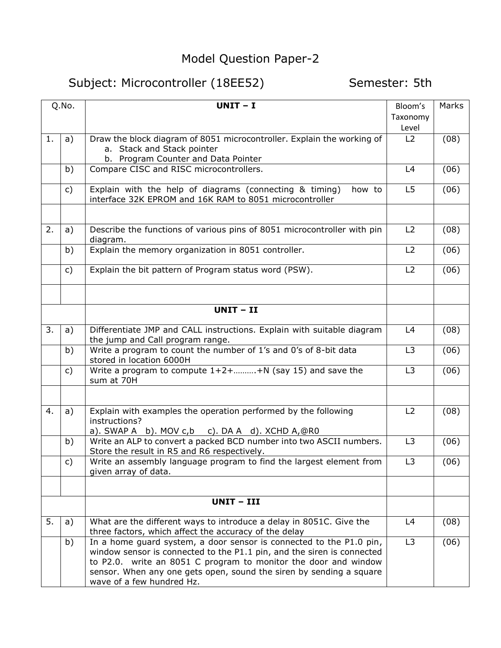## Model Question Paper-2

## Subject: Microcontroller (18EE52) Semester: 5th

| Q.No. |              | $UNIT - I$                                                                                                                                                                                                                                                                                                           | Bloom's        | Marks |
|-------|--------------|----------------------------------------------------------------------------------------------------------------------------------------------------------------------------------------------------------------------------------------------------------------------------------------------------------------------|----------------|-------|
|       |              |                                                                                                                                                                                                                                                                                                                      | Taxonomy       |       |
|       |              |                                                                                                                                                                                                                                                                                                                      | Level          |       |
| 1.    | a)           | Draw the block diagram of 8051 microcontroller. Explain the working of<br>a. Stack and Stack pointer<br>b. Program Counter and Data Pointer                                                                                                                                                                          | L2             | (08)  |
|       | b)           | Compare CISC and RISC microcontrollers.                                                                                                                                                                                                                                                                              | L4             | (06)  |
|       | C)           | Explain with the help of diagrams (connecting & timing)<br>how to<br>interface 32K EPROM and 16K RAM to 8051 microcontroller                                                                                                                                                                                         | L <sub>5</sub> | (06)  |
|       |              |                                                                                                                                                                                                                                                                                                                      |                |       |
| 2.    | a)           | Describe the functions of various pins of 8051 microcontroller with pin<br>diagram.                                                                                                                                                                                                                                  | L2             | (08)  |
|       | b)           | Explain the memory organization in 8051 controller.                                                                                                                                                                                                                                                                  | L2             | (06)  |
|       | $\mathsf{C}$ | Explain the bit pattern of Program status word (PSW).                                                                                                                                                                                                                                                                | L2             | (06)  |
|       |              |                                                                                                                                                                                                                                                                                                                      |                |       |
|       |              | $UNIT - II$                                                                                                                                                                                                                                                                                                          |                |       |
| 3.    | a)           | Differentiate JMP and CALL instructions. Explain with suitable diagram<br>the jump and Call program range.                                                                                                                                                                                                           | L4             | (08)  |
|       | b)           | Write a program to count the number of 1's and 0's of 8-bit data<br>stored in location 6000H                                                                                                                                                                                                                         | L <sub>3</sub> | (06)  |
|       | c)           | Write a program to compute $1+2++N$ (say 15) and save the<br>sum at 70H                                                                                                                                                                                                                                              | L <sub>3</sub> | (06)  |
|       |              |                                                                                                                                                                                                                                                                                                                      |                |       |
| 4.    | a)           | Explain with examples the operation performed by the following<br>instructions?<br>a). SWAP A b). MOV c, b c). DA A d). XCHD $A$ , @R0                                                                                                                                                                               | L2             | (08)  |
|       | b)           | Write an ALP to convert a packed BCD number into two ASCII numbers.<br>Store the result in R5 and R6 respectively.                                                                                                                                                                                                   | L <sub>3</sub> | (06)  |
|       | c)           | Write an assembly language program to find the largest element from<br>given array of data.                                                                                                                                                                                                                          | L3             | (06)  |
|       |              |                                                                                                                                                                                                                                                                                                                      |                |       |
|       |              | UNIT - III                                                                                                                                                                                                                                                                                                           |                |       |
| 5.    | a)           | What are the different ways to introduce a delay in 8051C. Give the<br>three factors, which affect the accuracy of the delay                                                                                                                                                                                         | L4             | (08)  |
|       | b)           | In a home guard system, a door sensor is connected to the P1.0 pin,<br>window sensor is connected to the P1.1 pin, and the siren is connected<br>to P2.0. write an 8051 C program to monitor the door and window<br>sensor. When any one gets open, sound the siren by sending a square<br>wave of a few hundred Hz. | L <sub>3</sub> | (06)  |